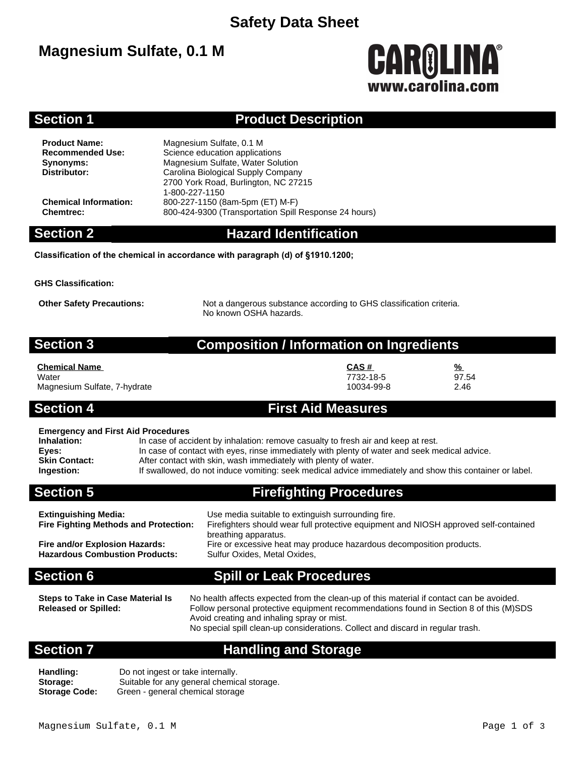### **Safety Data Sheet**

### **Magnesium Sulfate, 0.1 M**

# CAROLINA® www.carolina.co

#### **Section 1 Product Description**

**Product Name:** Magnesium Sulfate, 0.1 M<br>**Recommended Use:** Science education applica **Science education applications Synonyms:** Magnesium Sulfate, Water Solution<br>
Distributor: Carolina Biological Supply Company **Distributor:** Carolina Biological Supply Company 2700 York Road, Burlington, NC 27215 1-800-227-1150 **Chemical Information:** 800-227-1150 (8am-5pm (ET) M-F) **Chemtrec:** 800-424-9300 (Transportation Spill Response 24 hours)

### **Section 2 Hazard Identification**

**Classification of the chemical in accordance with paragraph (d) of §1910.1200;**

**GHS Classification:**

**Other Safety Precautions:** Not a dangerous substance according to GHS classification criteria. No known OSHA hazards.

### **Section 3 Composition / Information on Ingredients**

| <b>Chemical Name</b>         | CAS#       | $\frac{9}{6}$ |
|------------------------------|------------|---------------|
| Water                        | 7732-18-5  | 97.54         |
| Magnesium Sulfate, 7-hydrate | 10034-99-8 | 2.46          |

### **Section 4 First Aid Measures**

#### **Emergency and First Aid Procedures**

| Inhalation:          | In case of accident by inhalation: remove casualty to fresh air and keep at rest.                       |
|----------------------|---------------------------------------------------------------------------------------------------------|
| Eyes:                | In case of contact with eyes, rinse immediately with plenty of water and seek medical advice.           |
| <b>Skin Contact:</b> | After contact with skin, wash immediately with plenty of water.                                         |
| Ingestion:           | If swallowed, do not induce vomiting: seek medical advice immediately and show this container or label. |
|                      |                                                                                                         |

### **Section 5 Firefighting Procedures**

| <b>Extinguishing Media:</b><br><b>Fire Fighting Methods and Protection:</b> | Use media suitable to extinguish surrounding fire.<br>Firefighters should wear full protective equipment and NIOSH approved self-contained<br>breathing apparatus. |
|-----------------------------------------------------------------------------|--------------------------------------------------------------------------------------------------------------------------------------------------------------------|
| Fire and/or Explosion Hazards:                                              | Fire or excessive heat may produce hazardous decomposition products.                                                                                               |
| <b>Hazardous Combustion Products:</b>                                       | Sulfur Oxides, Metal Oxides,                                                                                                                                       |

### **Section 6 Spill or Leak Procedures**

**Steps to Take in Case Material Is Released or Spilled:**

No health affects expected from the clean-up of this material if contact can be avoided. Follow personal protective equipment recommendations found in Section 8 of this (M)SDS Avoid creating and inhaling spray or mist. No special spill clean-up considerations. Collect and discard in regular trash.

### **Section 7 Handling and Storage**

**Handling:** Do not ingest or take internally. Storage: Suitable for any general chemical storage.<br>**Storage Code:** Green - general chemical storage **Storage Code:** Green - general chemical storage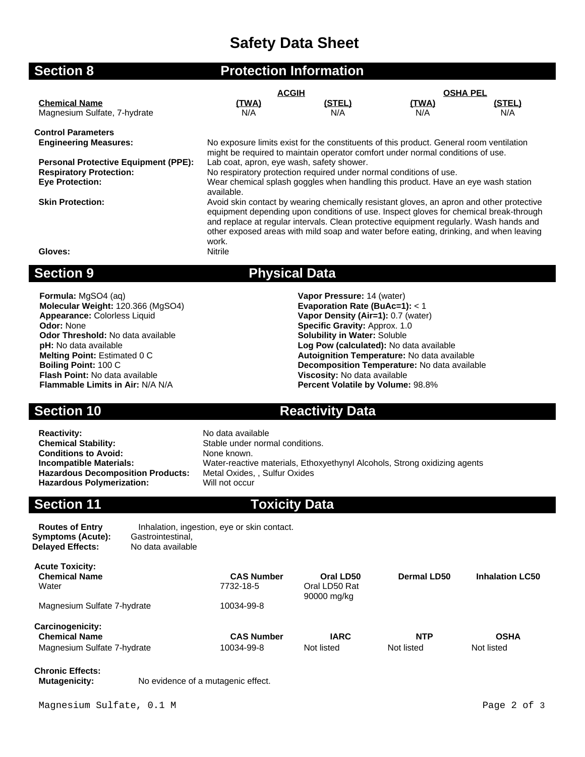## **Safety Data Sheet**

| <b>Section 8</b>                            | <b>Protection Information</b>                                                                                                                                                                                                                                                                                                                                                  |               |                 |        |  |
|---------------------------------------------|--------------------------------------------------------------------------------------------------------------------------------------------------------------------------------------------------------------------------------------------------------------------------------------------------------------------------------------------------------------------------------|---------------|-----------------|--------|--|
|                                             | <b>ACGIH</b>                                                                                                                                                                                                                                                                                                                                                                   |               | <b>OSHA PEL</b> |        |  |
| <b>Chemical Name</b>                        | (TWA)                                                                                                                                                                                                                                                                                                                                                                          | (STEL)        | <u>(TWA)</u>    | (STEL) |  |
| Magnesium Sulfate, 7-hydrate                | N/A                                                                                                                                                                                                                                                                                                                                                                            | N/A           | N/A             | N/A    |  |
| <b>Control Parameters</b>                   |                                                                                                                                                                                                                                                                                                                                                                                |               |                 |        |  |
| <b>Engineering Measures:</b>                | No exposure limits exist for the constituents of this product. General room ventilation<br>might be required to maintain operator comfort under normal conditions of use.                                                                                                                                                                                                      |               |                 |        |  |
| <b>Personal Protective Equipment (PPE):</b> | Lab coat, apron, eye wash, safety shower.                                                                                                                                                                                                                                                                                                                                      |               |                 |        |  |
| <b>Respiratory Protection:</b>              | No respiratory protection required under normal conditions of use.                                                                                                                                                                                                                                                                                                             |               |                 |        |  |
| <b>Eye Protection:</b>                      | Wear chemical splash goggles when handling this product. Have an eye wash station<br>available.                                                                                                                                                                                                                                                                                |               |                 |        |  |
| <b>Skin Protection:</b>                     | Avoid skin contact by wearing chemically resistant gloves, an apron and other protective<br>equipment depending upon conditions of use. Inspect gloves for chemical break-through<br>and replace at regular intervals. Clean protective equipment regularly. Wash hands and<br>other exposed areas with mild soap and water before eating, drinking, and when leaving<br>work. |               |                 |        |  |
| Gloves:                                     | Nitrile                                                                                                                                                                                                                                                                                                                                                                        |               |                 |        |  |
| Raatian N                                   |                                                                                                                                                                                                                                                                                                                                                                                | Dhuciael Dete |                 |        |  |

### **Section 9 Physical Data**

**Formula:** MgSO4 (aq) **Vapor Pressure:** 14 (water) **Molecular Weight:** 120.366 (MgSO4)<br>**Appearance:** Colorless Liquid **Appearance:** Colorless Liquid **Vapor Density (Air=1):** 0.7 (water)<br> **Odor:** None **Color:** None **Color:** None **Color:** None **Color:** None **Color:** None **Color:** None **Color:** None **Color:** None **Color:** None **Color:** None **Odor Threshold:** No data available **pH:** No data available **Flash Point:** No data available **Viscosity:** No data available

**Specific Gravity: Approx. 1.0**<br>**Solubility in Water: Soluble Log Pow (calculated):** No data available **Melting Point:** Estimated 0 C **Autoignition Temperature:** No data available **Boiling Point:** 100 C **Decomposition Temperature:** No data available **Percent Volatile by Volume: 98.8%** 

**Section 10 Reactivity Data** 

**Reactivity:** No data available<br> **Chemical Stability:** No data available<br>
Stable under norm **Conditions to Avoid:**<br>Incompatible Materials: **Hazardous Decomposition Products: Metal Oxides, <br><b>Hazardous Polymerization:** Will not occur **Hazardous Polymerization:** 

Stable under normal conditions.<br>None known. Water-reactive materials, Ethoxyethynyl Alcohols, Strong oxidizing agents<br>Metal Oxides, , Sulfur Oxides

### **Section 11 Toxicity Data**

**Symptoms (Acute):** Gastrointestinal,<br> **Delaved Effects:** No data available **Delayed Effects:** 

**Routes of Entry** Inhalation, ingestion, eye or skin contact.<br>**ymptoms (Acute):** Gastrointestinal,

**Acute Toxicity: Chemical Name CAS Number Oral LD50 Dermal LD50 Inhalation LC50** Water 7732-18-5 Oral LD50 Rat 90000 mg/kg Magnesium Sulfate 7-hydrate 10034-99-8 **Carcinogenicity: CAS Number IARC NTP CAS Number CAS Number IARC NTP OSHA**<br>
Magnesium Sulfate 7-hvdrate **10034-99-8** Mot listed **Not listed** Mot listed Not listed Magnesium Sulfate 7-hydrate 10034-99-8 Not listed Not listed Not listed Not listed

**Chronic Effects:**

**Mutagenicity:** No evidence of a mutagenic effect.